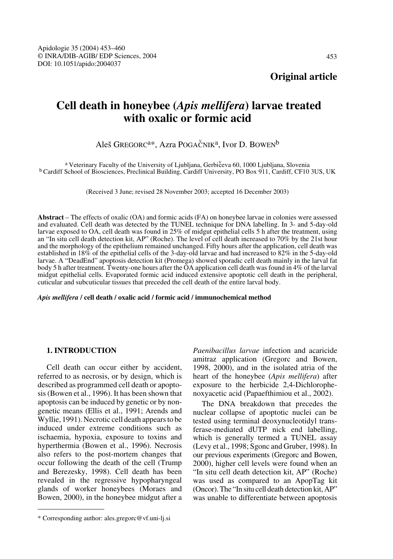# **Cell death in honeybee (***Apis mellifera***) larvae treated with oxalic or formic acid**

# Aleš Gregorc<sup>a\*</sup>, Azra Pogačnik<sup>a</sup>, Ivor D. Bowen<sup>b</sup>

<sup>b</sup> Cardiff School of Biosciences, Preclinical Building, Cardiff University, PO Box 911, Cardiff, CF10 3US, UK c v

(Received 3 June; revised 28 November 2003; accepted 16 December 2003)

**Abstract** – The effects of oxalic (OA) and formic acids (FA) on honeybee larvae in colonies were assessed and evaluated. Cell death was detected by the TUNEL technique for DNA labelling. In 3- and 5-day-old larvae exposed to OA, cell death was found in 25% of midgut epithelial cells 5 h after the treatment, using an "In situ cell death detection kit, AP" (Roche). The level of cell death increased to 70% by the 21st hour and the morphology of the epithelium remained unchanged. Fifty hours after the application, cell death was established in 18% of the epithelial cells of the 3-day-old larvae and had increased to 82% in the 5-day-old larvae. A "DeadEnd" apoptosis detection kit (Promega) showed sporadic cell death mainly in the larval fat body 5 h after treatment. Twenty-one hours after the OA application cell death was found in 4% of the larval midgut epithelial cells. Evaporated formic acid induced extensive apoptotic cell death in the peripheral, cuticular and subcuticular tissues that preceded the cell death of the entire larval body.

*Apis mellifera* **/ cell death / oxalic acid / formic acid / immunochemical method**

# **1. INTRODUCTION**

Cell death can occur either by accident, referred to as necrosis, or by design, which is described as programmed cell death or apoptosis (Bowen et al., 1996). It has been shown that apoptosis can be induced by genetic or by nongenetic means (Ellis et al., 1991; Arends and Wyllie, 1991). Necrotic cell death appears to be induced under extreme conditions such as ischaemia, hypoxia, exposure to toxins and hyperthermia (Bowen et al., 1996). Necrosis also refers to the post-mortem changes that occur following the death of the cell (Trump and Berezesky, 1998). Cell death has been revealed in the regressive hypopharyngeal glands of worker honeybees (Moraes and Bowen, 2000), in the honeybee midgut after a

\* Corresponding author: ales.gregorc@vf.uni-lj.si

*Paenibacillus larvae* infection and acaricide amitraz application (Gregorc and Bowen, 1998, 2000), and in the isolated atria of the heart of the honeybee (*Apis mellifera*) after exposure to the herbicide 2,4-Dichlorophenoxyacetic acid (Papaefthimiou et al., 2002).

The DNA breakdown that precedes the nuclear collapse of apoptotic nuclei can be tested using terminal deoxynucleotidyl transferase-mediated dUTP nick end labelling, which is generally termed a TUNEL assay (Levy et al., 1998; Sgonc and Gruber, 1998). In our previous experiments (Gregorc and Bowen, 2000), higher cell levels were found when an "In situ cell death detection kit, AP" (Roche) was used as compared to an ApopTag kit (Oncor). The "In situ cell death detection kit, AP" was unable to differentiate between apoptosis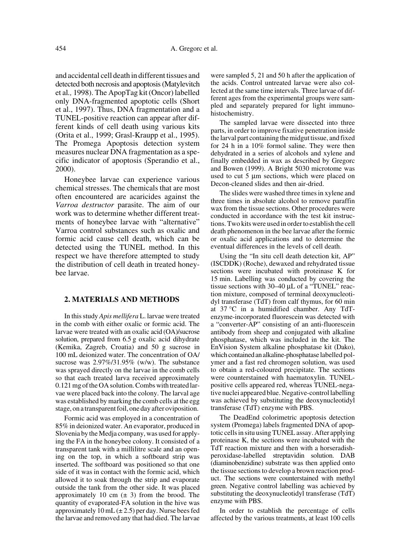and accidental cell death in different tissues and detected both necrosis and apoptosis (Matylevitch et al*.,* 1998). The ApopTag kit (Oncor) labelled only DNA-fragmented apoptotic cells (Short et al., 1997). Thus, DNA fragmentation and a TUNEL-positive reaction can appear after different kinds of cell death using various kits (Orita et al., 1999; Grasl-Kraupp et al., 1995). The Promega Apoptosis detection system measures nuclear DNA fragmentation as a specific indicator of apoptosis (Sperandio et al., 2000).

Honeybee larvae can experience various chemical stresses. The chemicals that are most often encountered are acaricides against the *Varroa destructor* parasite. The aim of our work was to determine whether different treatments of honeybee larvae with "alternative" Varroa control substances such as oxalic and formic acid cause cell death, which can be detected using the TUNEL method. In this respect we have therefore attempted to study the distribution of cell death in treated honeybee larvae.

#### **2. MATERIALS AND METHODS**

In this study *Apis mellifera* L. larvae were treated in the comb with either oxalic or formic acid. The larvae were treated with an oxalic acid (OA)/sucrose solution, prepared from 6.5 g oxalic acid dihydrate (Kemika, Zagreb, Croatia) and 50 g sucrose in 100 mL deionized water. The concentration of OA/ sucrose was 2.97%/31.95% (w/w). The substance was sprayed directly on the larvae in the comb cells so that each treated larva received approximately 0.121 mg of the OA solution. Combs with treated larvae were placed back into the colony. The larval age was established by marking the comb cells at the egg stage, on a transparent foil, one day after oviposition.

Formic acid was employed in a concentration of 85% in deionized water. An evaporator, produced in Slovenia by the Medja company, was used for applying the FA in the honeybee colony. It consisted of a transparent tank with a millilitre scale and an opening on the top, in which a softboard strip was inserted. The softboard was positioned so that one side of it was in contact with the formic acid, which allowed it to soak through the strip and evaporate outside the tank from the other side. It was placed approximately 10 cm  $(\pm 3)$  from the brood. The quantity of evaporated-FA solution in the hive was approximately  $10 \text{ mL} (\pm 2.5)$  per day. Nurse bees fed the larvae and removed any that had died. The larvae were sampled 5, 21 and 50 h after the application of the acids. Control untreated larvae were also collected at the same time intervals. Three larvae of different ages from the experimental groups were sampled and separately prepared for light immunohistochemistry.

The sampled larvae were dissected into three parts, in order to improve fixative penetration inside the larval part containing the midgut tissue, and fixed for 24 h in a 10% formol saline. They were then dehydrated in a series of alcohols and xylene and finally embedded in wax as described by Gregorc and Bowen (1999). A Bright 5030 microtome was used to cut 5 µm sections, which were placed on Decon-cleaned slides and then air-dried.

The slides were washed three times in xylene and three times in absolute alcohol to remove paraffin wax from the tissue sections. Other procedures were conducted in accordance with the test kit instructions. Two kits were used in order to establish the cell death phenomenon in the bee larvae after the formic or oxalic acid applications and to determine the eventual differences in the levels of cell death.

Using the "In situ cell death detection kit, AP" (ISCDDK) (Roche), dewaxed and rehydrated tissue sections were incubated with proteinase K for 15 min. Labelling was conducted by covering the tissue sections with 30–40 µL of a "TUNEL" reaction mixture, composed of terminal deoxynucleotidyl transferase (TdT) from calf thymus, for 60 min at 37 °C in a humidified chamber. Any TdTenzyme-incorporated fluorescein was detected with a "converter-AP" consisting of an anti-fluorescein antibody from sheep and conjugated with alkaline phosphatase, which was included in the kit. The EnVision System alkaline phosphatase kit (Dako), which contained an alkaline-phosphatase labelled polymer and a fast red chromogen solution, was used to obtain a red-coloured precipitate. The sections were counterstained with haematoxylin. TUNELpositive cells appeared red, whereas TUNEL-negative nuclei appeared blue. Negative-control labelling was achieved by substituting the deoxynucleotidyl transferase (TdT) enzyme with PBS.

The DeadEnd colorimetric apoptosis detection system (Promega) labels fragmented DNA of apoptotic cells in situ using TUNEL assay. After applying proteinase K, the sections were incubated with the TdT reaction mixture and then with a horseradishperoxidase-labelled streptavidin solution. DAB (diaminobenzidine) substrate was then applied onto the tissue sections to develop a brown reaction product. The sections were counterstained with methyl green. Negative control labelling was achieved by substituting the deoxynucleotidyl transferase (TdT) enzyme with PBS.

In order to establish the percentage of cells affected by the various treatments, at least 100 cells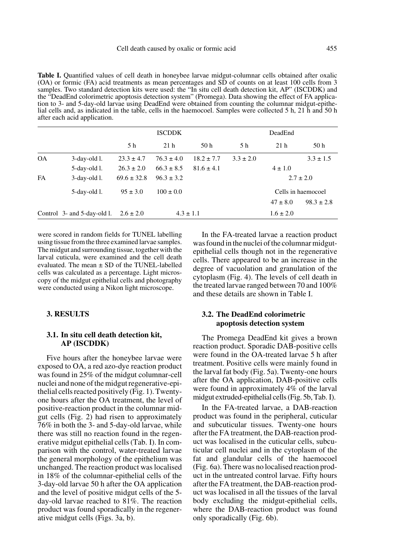**Table I.** Quantified values of cell death in honeybee larvae midgut-columnar cells obtained after oxalic (OA) or formic (FA) acid treatments as mean percentages and SD of counts on at least 100 cells from 3 samples. Two standard detection kits were used: the "In situ cell death detection kit, AP" (ISCDDK) and the "DeadEnd colorimetric apoptosis detection system" (Promega). Data showing the effect of FA application to 3- and 5-day-old larvae using DeadEnd were obtained from counting the columnar midgut-epithelial cells and, as indicated in the table, cells in the haemocoel. Samples were collected 5 h, 21 h and 50 h after each acid application.

|           |                             | <b>ISCDDK</b>   |                                     |                | DeadEnd       |                 |                |  |
|-----------|-----------------------------|-----------------|-------------------------------------|----------------|---------------|-----------------|----------------|--|
|           |                             | 5 h             | 21 <sub>h</sub>                     | 50 h           | 5 h           | 21 <sub>h</sub> | 50h            |  |
| <b>OA</b> | $3$ -day-old l.             | $23.3 \pm 4.7$  | $76.3 \pm 4.0$                      | $18.2 \pm 7.7$ | $3.3 \pm 2.0$ |                 | $3.3 \pm 1.5$  |  |
|           | 5-day-old l.                | $26.3 \pm 2.0$  | $66.3 \pm 8.5$                      | $81.6 \pm 4.1$ |               | $4 \pm 1.0$     |                |  |
| <b>FA</b> | $3$ -day-old l.             | $69.6 \pm 32.8$ | $96.3 \pm 3.2$                      |                |               |                 | $2.7 \pm 2.0$  |  |
|           | 5-day-old l.                | $95 \pm 3.0$    | Cells in haemocoel<br>$100 \pm 0.0$ |                |               |                 |                |  |
|           |                             |                 |                                     |                |               | $47 \pm 8.0$    | $98.3 \pm 2.8$ |  |
|           | Control 3- and 5-day-old l. | $2.6 \pm 2.0$   | $4.3 \pm 1.1$                       |                |               | $1.6 \pm 2.0$   |                |  |

were scored in random fields for TUNEL labelling using tissue from the three examined larvae samples. The midgut and surrounding tissue, together with the larval cuticula, were examined and the cell death evaluated. The mean ± SD of the TUNEL-labelled cells was calculated as a percentage. Light microscopy of the midgut epithelial cells and photography were conducted using a Nikon light microscope.

## **3. RESULTS**

#### **3.1. In situ cell death detection kit, AP (ISCDDK)**

Five hours after the honeybee larvae were exposed to OA, a red azo-dye reaction product was found in 25% of the midgut columnar-cell nuclei and none of the midgut regenerative-epithelial cells reacted positively (Fig. 1). Twentyone hours after the OA treatment, the level of positive-reaction product in the columnar midgut cells (Fig. 2) had risen to approximately 76% in both the 3- and 5-day-old larvae, while there was still no reaction found in the regenerative midgut epithelial cells (Tab. I). In comparison with the control, water-treated larvae the general morphology of the epithelium was unchanged. The reaction product was localised in 18% of the columnar-epithelial cells of the 3-day-old larvae 50 h after the OA application and the level of positive midgut cells of the 5 day-old larvae reached to 81%. The reaction product was found sporadically in the regenerative midgut cells (Figs. 3a, b).

In the FA-treated larvae a reaction product was found in the nuclei of the columnar midgutepithelial cells though not in the regenerative cells. There appeared to be an increase in the degree of vacuolation and granulation of the cytoplasm (Fig. 4). The levels of cell death in the treated larvae ranged between 70 and 100% and these details are shown in Table I.

# **3.2. The DeadEnd colorimetric apoptosis detection system**

The Promega DeadEnd kit gives a brown reaction product. Sporadic DAB-positive cells were found in the OA-treated larvae 5 h after treatment. Positive cells were mainly found in the larval fat body (Fig. 5a). Twenty-one hours after the OA application, DAB-positive cells were found in approximately 4% of the larval midgut extruded-epithelial cells (Fig. 5b, Tab. I).

In the FA-treated larvae, a DAB-reaction product was found in the peripheral, cuticular and subcuticular tissues. Twenty-one hours after the FA treatment, the DAB-reaction product was localised in the cuticular cells, subcuticular cell nuclei and in the cytoplasm of the fat and glandular cells of the haemocoel (Fig. 6a). There was no localised reaction product in the untreated control larvae. Fifty hours after the FA treatment, the DAB-reaction product was localised in all the tissues of the larval body excluding the midgut-epithelial cells, where the DAB-reaction product was found only sporadically (Fig. 6b).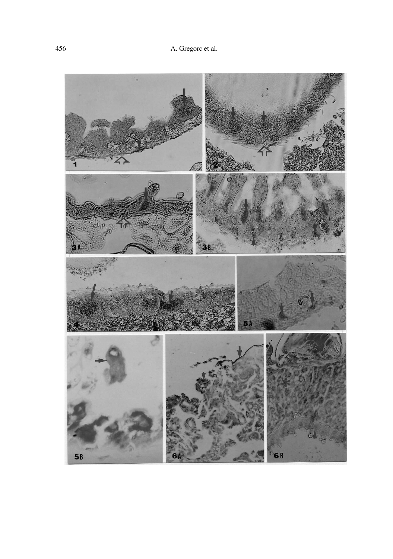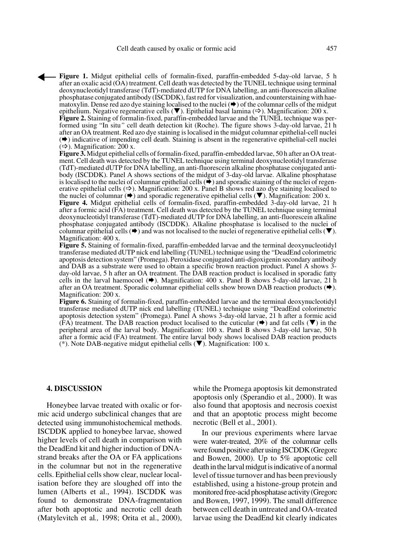**Figure 1.** Midgut epithelial cells of formalin-fixed, paraffin-embedded 5-day-old larvae, 5 h after an oxalic acid (OA) treatment. Cell death was detected by the TUNEL technique using terminal deoxynucleotidyl transferase (TdT)-mediated dUTP for DNA labelling, an anti-fluorescein alkaline phosphatase conjugated antibody (ISCDDK), fast red for visualization, and counterstaining with haematoxylin. Dense red azo dye staining localised to the nuclei  $(\rightarrow)$  of the columnar cells of the midgut epithelium. Negative regenerative cells  $(\nabla)$ . Epithelial basal lamina  $(\Rightarrow)$ . Magnification: 200 x. **Figure 2.** Staining of formalin-fixed, paraffin-embedded larvae and the TUNEL technique was performed using "In situ*"* cell death detection kit (Roche). The figure shows 3-day-old larvae, 21 h after an OA treatment. Red azo dye staining is localised in the midgut columnar epithelial-cell nuclei  $\leftrightarrow$  indicative of impending cell death. Staining is absent in the regenerative epithelial-cell nuclei  $(\Rightarrow)$ . Magnification: 200 x.

**Figure 3.** Midgut epithelial cells of formalin-fixed, paraffin-embedded larvae, 50 h after an OA treatment. Cell death was detected by the TUNEL technique using terminal deoxynucleotidyl transferase (TdT)-mediated dUTP for DNA labelling, an anti-fluorescein alkaline phosphatase conjugated antibody (ISCDDK). Panel A shows sections of the midgut of 3-day-old larvae. Alkaline phosphatase is localised to the nuclei of columnar epithelial cells  $(\rightarrow)$  and sporadic staining of the nuclei of regenerative epithelial cells  $(\Rightarrow)$ . Magnification: 200 x. Panel B shows red azo dye staining localised to the nuclei of columnar  $(\rightarrow)$  and sporadic regenerative epithelial cells  $(\rightarrow)$ . Magnification: 200 x.

**Figure 4.** Midgut epithelial cells of formalin-fixed, paraffin-embedded 3-day-old larvae, 21 h after a formic acid (FA) treatment. Cell death was detected by the TUNEL technique using terminal deoxynucleotidyl transferase (TdT)-mediated dUTP for DNA labelling, an anti-fluorescein alkaline phosphatase conjugated antibody (ISCDDK). Alkaline phosphatase is localised to the nuclei of columnar epithelial cells ( $\blacktriangleright$ ) and was not localised to the nuclei of regenerative epithelial cells ( $\nblacktriangleright$ ). Magnification: 400 x.

**Figure 5.** Staining of formalin-fixed, paraffin-embedded larvae and the terminal deoxynucleotidyl transferase mediated dUTP nick end labelling (TUNEL) technique using the "DeadEnd colorimetric apoptosis detection system" (Promega). Peroxidase conjugated anti-digoxigenin secondary antibody and DAB as a substrate were used to obtain a specific brown reaction product. Panel A shows 3 day-old larvae, 5 h after an OA treatment. The DAB reaction product is localised in sporadic fatty cells in the larval haemocoel  $(\blacklozenge)$ . Magnification: 400 x. Panel B shows 5-day-old larvae, 21 h after an OA treatment. Sporadic columnar epithelial cells show brown DAB reaction products  $(\blacktriangle)$ . Magnification: 200 x.

**Figure 6.** Staining of formalin-fixed, paraffin-embedded larvae and the terminal deoxynucleotidyl transferase mediated dUTP nick end labelling (TUNEL) technique using "DeadEnd colorimetric apoptosis detection system" (Promega). Panel A shows 3-day-old larvae, 21 h after a formic acid (FA) treatment. The DAB reaction product localised to the cuticular  $(\rightarrow)$  and fat cells ( $\nabla$ ) in the peripheral area of the larval body. Magnification: 100 x. Panel B shows 3-day-old larvae, 50 h after a formic acid (FA) treatment. The entire larval body shows localised DAB reaction products (\*). Note DAB-negative midgut epithelial cells  $(\blacktriangledown)$ . Magnification: 100 x.

## **4. DISCUSSION**

Honeybee larvae treated with oxalic or formic acid undergo subclinical changes that are detected using immunohistochemical methods. ISCDDK applied to honeybee larvae, showed higher levels of cell death in comparison with the DeadEnd kit and higher induction of DNAstrand breaks after the OA or FA applications in the columnar but not in the regenerative cells. Epithelial cells show clear, nuclear localisation before they are sloughed off into the lumen (Alberts et al., 1994). ISCDDK was found to demonstrate DNA-fragmentation after both apoptotic and necrotic cell death (Matylevitch et al*.,* 1998; Orita et al., 2000),

while the Promega apoptosis kit demonstrated apoptosis only (Sperandio et al., 2000). It was also found that apoptosis and necrosis coexist and that an apoptotic process might become necrotic (Bell et al., 2001).

In our previous experiments where larvae were water-treated, 20% of the columnar cells were found positive after using ISCDDK (Gregorc and Bowen, 2000). Up to 5% apoptotic cell death in the larval midgut is indicative of a normal level of tissue turnover and has been previously established, using a histone-group protein and monitored free-acid phosphatase activity (Gregorc and Bowen, 1997, 1999). The small difference between cell death in untreated and OA-treated larvae using the DeadEnd kit clearly indicates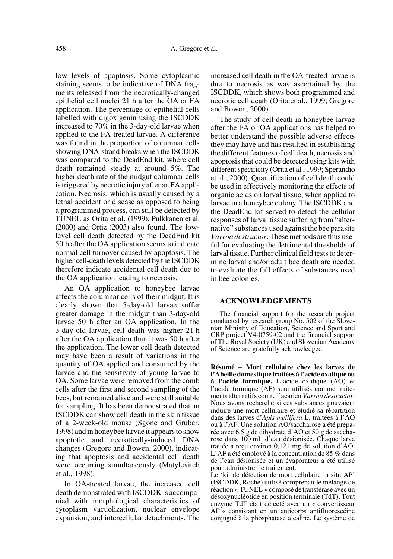low levels of apoptosis. Some cytoplasmic staining seems to be indicative of DNA fragments released from the necrotically-changed epithelial cell nuclei 21 h after the OA or FA application. The percentage of epithelial cells labelled with digoxigenin using the ISCDDK increased to 70% in the 3-day-old larvae when applied to the FA-treated larvae. A difference was found in the proportion of columnar cells showing DNA-strand breaks when the ISCDDK was compared to the DeadEnd kit, where cell death remained steady at around 5%. The higher death rate of the midgut columnar cells is triggered by necrotic injury after an FA application. Necrosis, which is usually caused by a lethal accident or disease as opposed to being a programmed process, can still be detected by TUNEL as Orita et al. (1999), Pulkkanen et al. (2000) and Ortiz (2003) also found. The lowlevel cell death detected by the DeadEnd kit 50 h after the OA application seems to indicate normal cell turnover caused by apoptosis. The higher cell-death levels detected by the ISCDDK therefore indicate accidental cell death due to the OA application leading to necrosis.

An OA application to honeybee larvae affects the columnar cells of their midgut. It is clearly shown that 5-day-old larvae suffer greater damage in the midgut than 3-day-old larvae 50 h after an OA application. In the 3-day-old larvae, cell death was higher 21 h after the OA application than it was 50 h after the application. The lower cell death detected may have been a result of variations in the quantity of OA applied and consumed by the larvae and the sensitivity of young larvae to OA. Some larvae were removed from the comb cells after the first and second sampling of the bees, but remained alive and were still suitable for sampling. It has been demonstrated that an ISCDDK can show cell death in the skin tissue of a 2-week-old mouse (Sgonc and Gruber, 1998) and in honeybee larvae it appears to show apoptotic and necrotically-induced DNA changes (Gregorc and Bowen, 2000), indicating that apoptosis and accidental cell death were occurring simultaneously (Matylevitch et al*.,* 1998).

In OA-treated larvae, the increased cell death demonstrated with ISCDDK is accompanied with morphological characteristics of cytoplasm vacuolization, nuclear envelope expansion, and intercellular detachments. The increased cell death in the OA-treated larvae is due to necrosis as was ascertained by the ISCDDK, which shows both programmed and necrotic cell death (Orita et al., 1999; Gregorc and Bowen, 2000).

The study of cell death in honeybee larvae after the FA or OA applications has helped to better understand the possible adverse effects they may have and has resulted in establishing the different features of cell death, necrosis and apoptosis that could be detected using kits with different specificity (Orita et al., 1999; Sperandio et al., 2000). Quantification of cell death could be used in effectively monitoring the effects of organic acids on larval tissue, when applied to larvae in a honeybee colony. The ISCDDK and the DeadEnd kit served to detect the cellular responses of larval tissue suffering from "alternative" substances used against the bee parasite *Varroa destructor*. These methods are thus useful for evaluating the detrimental thresholds of larval tissue. Further clinical field tests to determine larval and/or adult bee death are needed to evaluate the full effects of substances used in bee colonies.

# **ACKNOWLEDGEMENTS**

The financial support for the research project conducted by research group No. 502 of the Slovenian Ministry of Education, Science and Sport and CRP project V4-0759-02 and the financial support of The Royal Society (UK) and Slovenian Academy of Science are gratefully acknowledged.

**Résumé** – **Mort cellulaire chez les larves de l'Abeille domestique traitées à l'acide oxalique ou à l'acide formique.** L'acide oxalique (AO) et l'acide formique (AF) sont utilisés comme traitements alternatifs contre l'acarien *Varroa destructor*. Nous avons recherché si ces substances pouvaient induire une mort cellulaire et étudié sa répartition dans des larves d'*Apis mellifera* L. traitées à l'AO ou à l'AF. Une solution AO/saccharose a été préparée avec 6,5 g de dihydrate d'AO et 50 g de saccharose dans 100 mL d'eau désionisée. Chaque larve traitée a reçu environ 0,121 mg de solution d'AO. L'AF a été employé à la concentration de 85 % dans de l'eau désionisée et un évaporateur a été utilisé pour administrer le traitement.

Le 'kit de détection de mort cellulaire in situ AP' (ISCDDK, Roche) utilisé comprenait le mélange de réaction « TUNEL » composé de transférase avec un désoxynucléotide en position terminale (TdT). Tout enzyme TdT était détecté avec un « convertisseur AP » consistant en un anticorps antifluorescéine conjugué à la phosphatase alcaline. Le système de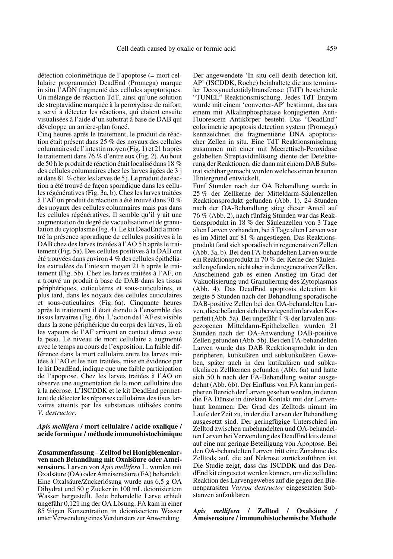détection colorimétrique de l'apoptose (= mort cellulaire programmée) DeadEnd (Promega) marque in situ l'ADN fragmenté des cellules apoptotiques. Un mélange de réaction TdT, ainsi qu'une solution de streptavidine marquée à la peroxydase de raifort, a servi à détecter les réactions, qui étaient ensuite visualisées à l'aide d'un substrat à base de DAB qui développe un arrière-plan foncé.

Cinq heures après le traitement, le produit de réaction était présent dans 25 % des noyaux des cellules columnaires de l'intestin moyen (Fig. 1) et 21 h après le traitement dans 76 % d'entre eux (Fig. 2). Au bout de 50 h le produit de réaction était localisé dans 18 % des cellules columnaires chez les larves âgées de 3 j et dans 81 % chez les larves de 5 j. Le produit de réaction a été trouvé de façon sporadique dans les cellules régénératives (Fig. 3a, b). Chez les larves traitées à l'AF un produit de réaction a été trouvé dans 70 % des noyaux des cellules columnaires mais pas dans les cellules régénératives. Il semble qu'il y ait une augmentation du degré de vacuolisation et de granulation du cytoplasme (Fig. 4). Le kit DeadEnd a montré la présence sporadique de cellules positives à la DAB chez des larves traitées à l'AO 5 h après le traitement (Fig. 5a). Des cellules positives à la DAB ont été trouvées dans environ 4 % des cellules épithéliales extrudées de l'intestin moyen 21 h après le traitement (Fig. 5b). Chez les larves traitées à l'AF, on a trouvé un produit à base de DAB dans les tissus périphériques, cuticulaires et sous-cuticulaires, et plus tard, dans les noyaux des cellules cuticulaires et sous-cuticulaires (Fig. 6a). Cinquante heures après le traitement il était étendu à l'ensemble des tissus larvaires (Fig. 6b). L'action de l'AF est visible dans la zone périphérique du corps des larves, là où les vapeurs de l'AF arrivent en contact direct avec la peau. Le niveau de mort cellulaire a augmenté avec le temps au cours de l'exposition. La faible différence dans la mort cellulaire entre les larves traitées à l'AO et les non traitées, mise en évidence par le kit DeadEnd, indique que une faible participation de l'apoptose. Chez les larves traitées à l'AO on observe une augmentation de la mort cellulaire due à la nécrose. L'ISCDDK et le kit DeadEnd permettent de détecter les réponses cellulaires des tisus larvaires atteints par les substances utilisées contre *V. destructor*.

*Apis mellifera* **/ mort cellulaire / acide oxalique / acide formique / méthode immunohistochimique**

**Zusammenfassung** – **Zelltod bei Honigbienenlarven nach Behandlung mit Oxalsäure oder Ameisensäure.** Larven von *Apis mellifera* L. wurden mit Oxalsäure (OA) oder Ameisensäure (FA) behandelt. Eine Oxalsäure/Zuckerlösung wurde aus 6,5 g OA Dihydrat und 50 g Zucker in 100 mL deionisiertem Wasser hergestellt. Jede behandelte Larve erhielt ungefähr 0,121 mg der OA Lösung. FA kam in einer 85 %igen Konzentration in deionisiertem Wasser unter Verwendung eines Verdunsters zur Anwendung.

Der angewendete 'In situ cell death detection kit, AP' (ISCDDK, Roche) beinhaltete die aus terminaler Deoxynucleotidyltransferase (TdT) bestehende "TUNEL" Reaktionsmischung. Jedes TdT Enzym wurde mit einem 'converter-AP' bestimmt, das aus einem mit Alkalinphosphatase konjugierten Anti-Fluorescein Antikörper besteht. Das "DeadEnd" colorimetric apoptosis detection system (Promega) kennzeichnet die fragmentierte DNA apoptotischer Zellen in situ. Eine TdT Reaktionsmischung zusammen mit einer mit Meerettisch-Peroxidase gelabelten Streptavidinlösung diente der Detektierung der Reaktionen, die dann mit einem DAB Substrat sichtbar gemacht wurden welches einen braunen Hintergrund entwickelt.

Fünf Stunden nach der OA Behandlung wurde in 25 % der Zellkerne der Mitteldarm-Säulenzellen Reaktionsprodukt gefunden (Abb. 1). 24 Stunden nach der OA-Behandlung stieg dieser Anteil auf 76 % (Abb. 2), nach fünfzig Stunden war das Reaktionsprodukt in 18 % der Säulenzellen von 3 Tage alten Larven vorhanden, bei 5 Tage alten Larven war es im Mittel auf 81 % angestiegen. Das Reaktionsprodukt fand sich sporadisch in regenerativen Zellen (Abb. 3a, b). Bei den FA-behandelten Larven wurde ein Reaktionsprodukt in 70 % der Kerne der Säulenzellen gefunden, nicht aber in den regenerativen Zellen. Anscheinend gab es einen Anstieg im Grad der Vakuolisierung und Granulierung des Zytoplasmas (Abb. 4). Das DeadEnd apoptosis detection kit zeigte 5 Stunden nach der Behandlung sporadische DAB-positive Zellen bei den OA-behandelten Larven, diese befanden sich überwiegend im larvalen Körperfett (Abb. 5a). Bei ungefähr 4 % der larvalen ausgezogenen Mitteldarm-Epithelzellen wurden 21 Stunden nach der OA-Anwendung DAB-positive Zellen gefunden (Abb. 5b). Bei den FA-behandelten Larven wurde das DAB Reaktionsprodukt in den peripheren, kutikulären und subkutikulären Geweben, später auch in den kutikulären und subkutikulären Zellkernen gefunden (Abb. 6a) und hatte sich 50 h nach der FA-Behandlung weiter ausgedehnt (Abb. 6b). Der Einfluss von FA kann im peripheren Bereich der Larven gesehen werden, in denen die FA Dünste in direkten Kontakt mit der Larvenhaut kommen. Der Grad des Zelltods nimmt im Laufe der Zeit zu, in der die Larven der Behandlung ausgesetzt sind. Der geringfügige Unterschied im Zelltod zwischen unbehandelten und OA-behandelten Larven bei Verwendung des DeadEnd kits deutet auf eine nur geringe Beteiligung von Apoptose. Bei den OA-behandelten Larven tritt eine Zunahme des Zelltods auf, die auf Nekrose zurückzuführen ist. Die Studie zeigt, dass das ISCDDK und das DeadEnd kit eingesetzt werden können, um die zelluläre Reaktion des Larvengewebes auf die gegen den Bienenparasiten *Varroa destructor* eingesetzten Substanzen aufzuklären.

*Apis mellifera* **/ Zelltod / Oxalsäure / Ameisensäure / immunohistochemische Methode**